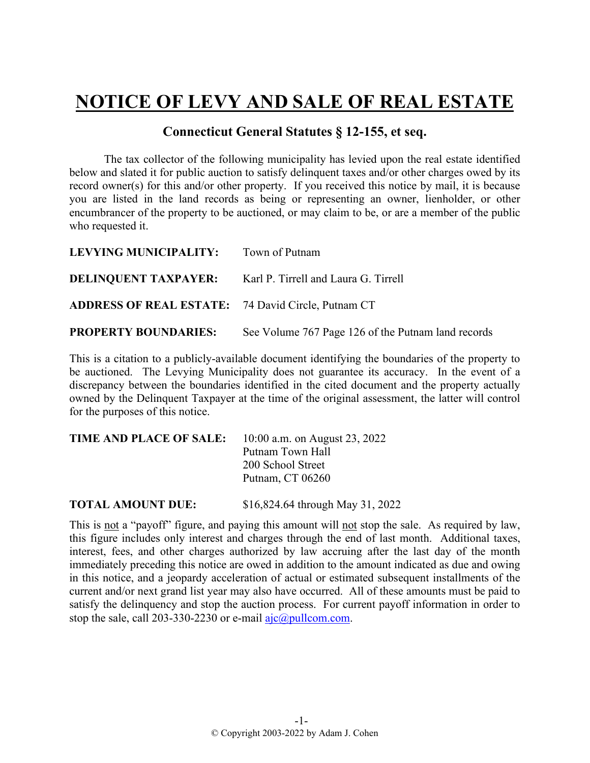## **NOTICE OF LEVY AND SALE OF REAL ESTATE**

## **Connecticut General Statutes § 12-155, et seq.**

The tax collector of the following municipality has levied upon the real estate identified below and slated it for public auction to satisfy delinquent taxes and/or other charges owed by its record owner(s) for this and/or other property. If you received this notice by mail, it is because you are listed in the land records as being or representing an owner, lienholder, or other encumbrancer of the property to be auctioned, or may claim to be, or are a member of the public who requested it.

| LEVYING MUNICIPALITY: Town of Putnam                      |                                                                  |
|-----------------------------------------------------------|------------------------------------------------------------------|
|                                                           | <b>DELINQUENT TAXPAYER:</b> Karl P. Tirrell and Laura G. Tirrell |
| <b>ADDRESS OF REAL ESTATE:</b> 74 David Circle, Putnam CT |                                                                  |
| <b>PROPERTY BOUNDARIES:</b>                               | See Volume 767 Page 126 of the Putnam land records               |

This is a citation to a publicly-available document identifying the boundaries of the property to be auctioned. The Levying Municipality does not guarantee its accuracy. In the event of a discrepancy between the boundaries identified in the cited document and the property actually owned by the Delinquent Taxpayer at the time of the original assessment, the latter will control for the purposes of this notice.

| <b>TIME AND PLACE OF SALE:</b> | 10:00 a.m. on August 23, 2022 |
|--------------------------------|-------------------------------|
|                                | Putnam Town Hall              |
|                                | 200 School Street             |
|                                | Putnam, CT 06260              |
|                                |                               |

**TOTAL AMOUNT DUE:** \$16,824.64 through May 31, 2022

This is not a "payoff" figure, and paying this amount will not stop the sale. As required by law, this figure includes only interest and charges through the end of last month. Additional taxes, interest, fees, and other charges authorized by law accruing after the last day of the month immediately preceding this notice are owed in addition to the amount indicated as due and owing in this notice, and a jeopardy acceleration of actual or estimated subsequent installments of the current and/or next grand list year may also have occurred. All of these amounts must be paid to satisfy the delinquency and stop the auction process. For current payoff information in order to stop the sale, call 203-330-2230 or e-mail  $a$ jc $@p$ ullcom.com.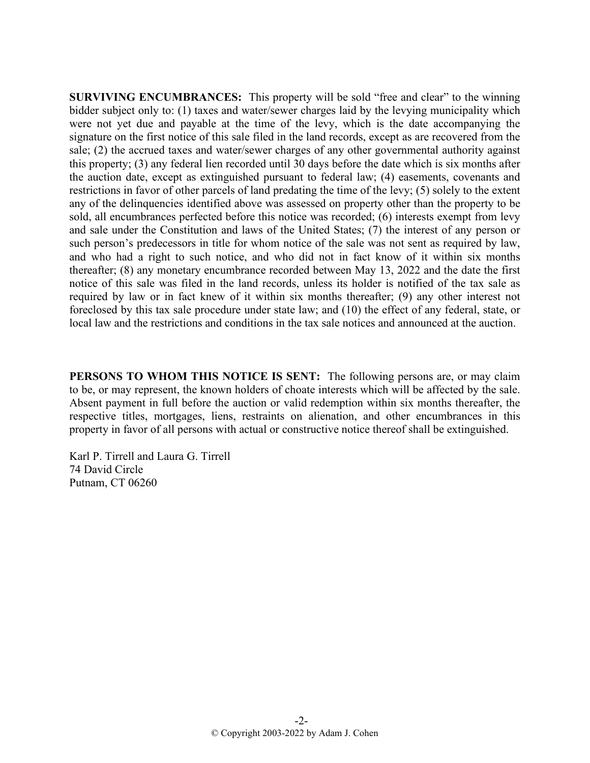**SURVIVING ENCUMBRANCES:** This property will be sold "free and clear" to the winning bidder subject only to: (1) taxes and water/sewer charges laid by the levying municipality which were not yet due and payable at the time of the levy, which is the date accompanying the signature on the first notice of this sale filed in the land records, except as are recovered from the sale; (2) the accrued taxes and water/sewer charges of any other governmental authority against this property; (3) any federal lien recorded until 30 days before the date which is six months after the auction date, except as extinguished pursuant to federal law; (4) easements, covenants and restrictions in favor of other parcels of land predating the time of the levy; (5) solely to the extent any of the delinquencies identified above was assessed on property other than the property to be sold, all encumbrances perfected before this notice was recorded; (6) interests exempt from levy and sale under the Constitution and laws of the United States; (7) the interest of any person or such person's predecessors in title for whom notice of the sale was not sent as required by law, and who had a right to such notice, and who did not in fact know of it within six months thereafter; (8) any monetary encumbrance recorded between May 13, 2022 and the date the first notice of this sale was filed in the land records, unless its holder is notified of the tax sale as required by law or in fact knew of it within six months thereafter; (9) any other interest not foreclosed by this tax sale procedure under state law; and (10) the effect of any federal, state, or local law and the restrictions and conditions in the tax sale notices and announced at the auction.

**PERSONS TO WHOM THIS NOTICE IS SENT:** The following persons are, or may claim to be, or may represent, the known holders of choate interests which will be affected by the sale. Absent payment in full before the auction or valid redemption within six months thereafter, the respective titles, mortgages, liens, restraints on alienation, and other encumbrances in this property in favor of all persons with actual or constructive notice thereof shall be extinguished.

Karl P. Tirrell and Laura G. Tirrell 74 David Circle Putnam, CT 06260